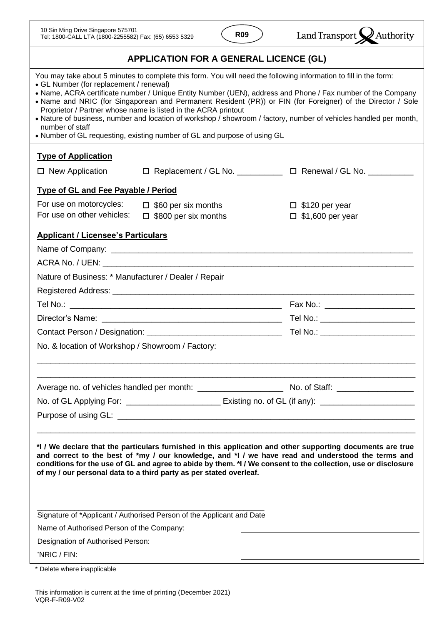

| You may take about 5 minutes to complete this form. You will need the following information to fill in the form:<br>• GL Number (for replacement / renewal)<br>• Name, ACRA certificate number / Unique Entity Number (UEN), address and Phone / Fax number of the Company<br>• Name and NRIC (for Singaporean and Permanent Resident (PR)) or FIN (for Foreigner) of the Director / Sole<br>Proprietor / Partner whose name is listed in the ACRA printout<br>• Nature of business, number and location of workshop / showroom / factory, number of vehicles handled per month,<br>number of staff<br>• Number of GL requesting, existing number of GL and purpose of using GL<br><b>Type of Application</b> |                                                     |
|---------------------------------------------------------------------------------------------------------------------------------------------------------------------------------------------------------------------------------------------------------------------------------------------------------------------------------------------------------------------------------------------------------------------------------------------------------------------------------------------------------------------------------------------------------------------------------------------------------------------------------------------------------------------------------------------------------------|-----------------------------------------------------|
|                                                                                                                                                                                                                                                                                                                                                                                                                                                                                                                                                                                                                                                                                                               |                                                     |
|                                                                                                                                                                                                                                                                                                                                                                                                                                                                                                                                                                                                                                                                                                               |                                                     |
| □ Replacement / GL No. ___________ □ Renewal / GL No. __________<br>$\Box$ New Application                                                                                                                                                                                                                                                                                                                                                                                                                                                                                                                                                                                                                    |                                                     |
| <b>Type of GL and Fee Payable / Period</b>                                                                                                                                                                                                                                                                                                                                                                                                                                                                                                                                                                                                                                                                    |                                                     |
| For use on motorcycles:<br>$\Box$ \$60 per six months<br>For use on other vehicles:<br>$\square$ \$800 per six months                                                                                                                                                                                                                                                                                                                                                                                                                                                                                                                                                                                         | $\square$ \$120 per year<br>$\Box$ \$1,600 per year |
| <b>Applicant / Licensee's Particulars</b>                                                                                                                                                                                                                                                                                                                                                                                                                                                                                                                                                                                                                                                                     |                                                     |
|                                                                                                                                                                                                                                                                                                                                                                                                                                                                                                                                                                                                                                                                                                               |                                                     |
|                                                                                                                                                                                                                                                                                                                                                                                                                                                                                                                                                                                                                                                                                                               |                                                     |
| Nature of Business: * Manufacturer / Dealer / Repair                                                                                                                                                                                                                                                                                                                                                                                                                                                                                                                                                                                                                                                          |                                                     |
|                                                                                                                                                                                                                                                                                                                                                                                                                                                                                                                                                                                                                                                                                                               |                                                     |
|                                                                                                                                                                                                                                                                                                                                                                                                                                                                                                                                                                                                                                                                                                               | Fax No.: ______________________                     |
|                                                                                                                                                                                                                                                                                                                                                                                                                                                                                                                                                                                                                                                                                                               | Tel No.: _______________________                    |
|                                                                                                                                                                                                                                                                                                                                                                                                                                                                                                                                                                                                                                                                                                               |                                                     |
| No. & location of Workshop / Showroom / Factory:                                                                                                                                                                                                                                                                                                                                                                                                                                                                                                                                                                                                                                                              |                                                     |
|                                                                                                                                                                                                                                                                                                                                                                                                                                                                                                                                                                                                                                                                                                               |                                                     |
|                                                                                                                                                                                                                                                                                                                                                                                                                                                                                                                                                                                                                                                                                                               |                                                     |
|                                                                                                                                                                                                                                                                                                                                                                                                                                                                                                                                                                                                                                                                                                               |                                                     |
| *I / We declare that the particulars furnished in this application and other supporting documents are true<br>and correct to the best of *my / our knowledge, and *I / we have read and understood the terms and<br>conditions for the use of GL and agree to abide by them. *I / We consent to the collection, use or disclosure<br>of my / our personal data to a third party as per stated overleaf.<br>Signature of *Applicant / Authorised Person of the Applicant and Date<br>Name of Authorised Person of the Company:<br>Designation of Authorised Person:<br>'NRIC / FIN:                                                                                                                            |                                                     |

\* Delete where inapplicable